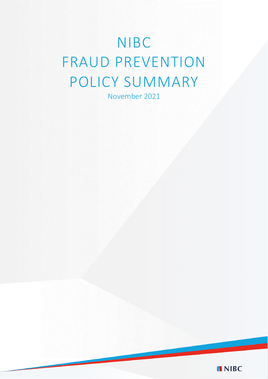# NIBC FRAUD PREVENTION POLICY SUMMARY

November 2021

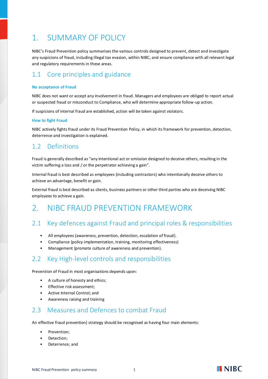# 1. SUMMARY OF POLICY

NIBC's Fraud Prevention policy summarises the various controls designed to prevent, detect and investigate any suspicions of fraud, including illegal tax evasion, within NIBC, and ensure compliance with all relevant legal and regulatory requirements in these areas.

# 1.1 Core principles and guidance

#### **No acceptance of Fraud**

NIBC does not want or accept any involvement in fraud. Managers and employees are obliged to report actual or suspected fraud or misconduct to Compliance, who will determine appropriate follow-up action.

If suspicions of internal fraud are established, action will be taken against violators.

#### **How to fight Fraud**

NIBC actively fights fraud under its Fraud Prevention Policy, in which its framework for prevention, detection, deterrence and investigation is explained.

## 1.2 Definitions

Fraud is generally described as "any intentional act or omission designed to deceive others, resulting in the victim suffering a loss and / or the perpetrator achieving a gain".

Internal fraud is best described as employees (including contractors) who intentionally deceive others to achieve an advantage, benefit or gain.

External fraud is best described as clients, business partners or other third parties who are deceiving NIBC employees to achieve a gain.

# 2. NIBC FRAUD PREVENTION FRAMEWORK

## 2.1 Key defences against Fraud and principal roles & responsibilities

- All employees (awareness, prevention, detection, escalation of fraud).
- Compliance (policy implementation, training, monitoring effectiveness)
- Management (promote culture of awareness and prevention).

## 2.2 Key High-level controls and responsibilities

Prevention of Fraud in most organisations depends upon:

- A culture of honesty and ethics;
- Effective risk assessment;
- Active Internal Control; and
- Awareness raising and training

### 2.3 Measures and Defences to combat Fraud

An effective fraud prevention) strategy should be recognised as having four main elements:

- Prevention;
- Detection:
- Deterrence; and

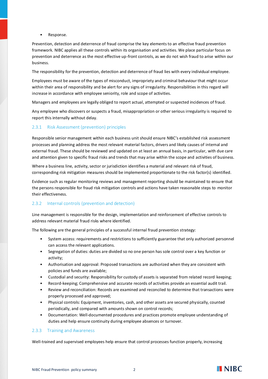• Response.

Prevention, detection and deterrence of fraud comprise the key elements to an effective fraud prevention framework. NIBC applies all these controls within its organisation and activities. We place particular focus on prevention and deterrence as the most effective up-front controls, as we do not wish fraud to arise within our business.

The responsibility for the prevention, detection and deterrence of fraud lies with every individual employee.

Employees must be aware of the types of misconduct, impropriety and criminal behaviour that might occur within their area of responsibility and be alert for any signs of irregularity. Responsibilities in this regard will increase in accordance with employee seniority, role and scope of activities.

Managers and employees are legally obliged to report actual, attempted or suspected incidences of fraud.

Any employee who discovers or suspects a fraud, misappropriation or other serious irregularity is required to report this internally without delay.

#### 2.3.1 Risk Assessment (prevention) principles

Responsible senior management within each business unit should ensure NIBC's established risk assessment processes and planning address the most relevant material factors, drivers and likely causes of internal and external fraud. These should be reviewed and updated on at least an annual basis, in particular, with due care and attention given to specific fraud risks and trends that may arise within the scope and activities of business.

Where a business line, activity, sector or jurisdiction identifies a material and relevant risk of fraud, corresponding risk mitigation measures should be implemented proportionate to the risk factor(s) identified.

Evidence such as regular monitoring reviews and management reporting should be maintained to ensure that the persons responsible for fraud risk mitigation controls and actions have taken reasonable steps to monitor their effectiveness.

#### 2.3.2 Internal controls (prevention and detection)

Line management is responsible for the design, implementation and reinforcement of effective controls to address relevant material fraud risks where identified.

The following are the general principles of a successful internal fraud prevention strategy:

- System access: requirements and restrictions to sufficiently guarantee that only authorized personnel can access the relevant applications.
- Segregation of duties: duties are divided so no one person has sole control over a key function or activity;
- Authorisation and approval: Proposed transactions are authorized when they are consistent with policies and funds are available;
- Custodial and security: Responsibility for custody of assets is separated from related record keeping;
- Record-keeping; Comprehensive and accurate records of activities provide an essential audit trail.
- Review and reconciliation: Records are examined and reconciled to determine that transactions were properly processed and approved;
- Physical controls: Equipment, inventories, cash, and other assets are secured physically, counted periodically, and compared with amounts shown on control records;
- Documentation: Well-documented procedures and practices promote employee understanding of duties and help ensure continuity during employee absences or turnover.

#### 2.3.3 Training and Awareness

Well-trained and supervised employees help ensure that control processes function properly, increasing

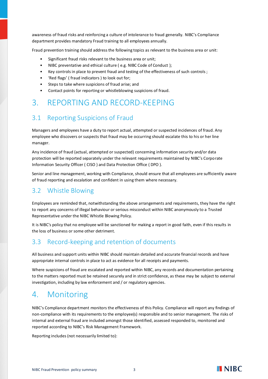awareness of fraud risks and reinforcing a culture of intolerance to fraud generally. NIBC's Compliance department provides mandatory Fraud training to all employees annually.

Fraud prevention training should address the following topics as relevant to the business area or unit:

- Significant fraud risks relevant to the business area or unit;
- NIBC preventative and ethical culture (e.g. NIBC Code of Conduct);
- Key controls in place to prevent fraud and testing of the effectiveness of such controls ;
- 'Red flags' ( fraud indicators ) to look out for;
- Steps to take where suspicions of fraud arise; and
- Contact points for reporting or whistleblowing suspicions of fraud.

# 3. REPORTING AND RECORD-KEEPING

# 3.1 Reporting Suspicions of Fraud

Managers and employees have a duty to report actual, attempted or suspected incidences of fraud. Any employee who discovers or suspects that fraud may be occurring should escalate this to his or her line manager.

Any incidence of fraud (actual, attempted or suspected) concerning information security and/or data protection will be reported separately under the relevant requirements maintained by NIBC's Corporate Information Security Officer ( CISO ) and Data Protection Office ( DPO ).

Senior and line management, working with Compliance, should ensure that all employees are sufficiently aware of fraud reporting and escalation and confident in using them where necessary.

## 3.2 Whistle Blowing

Employees are reminded that, notwithstanding the above arrangements and requirements, they have the right to report any concerns of illegal behaviour or serious misconduct within NIBC anonymously to a Trusted Representative under the NIBC Whistle Blowing Policy.

It is NIBC's policy that no employee will be sanctioned for making a report in good faith, even if this results in the loss of business or some other detriment.

# 3.3 Record-keeping and retention of documents

All business and support units within NIBC should maintain detailed and accurate financial records and have appropriate internal controls in place to act as evidence for all receipts and payments.

Where suspicions of fraud are escalated and reported within NIBC, any records and documentation pertaining to the matters reported must be retained securely and in strict confidence, as these may be subject to external investigation, including by law enforcement and / or regulatory agencies.

# 4. Monitoring

NIBC's Compliance department monitors the effectiveness of this Policy. Compliance will report any findings of non-compliance with its requirements to the employee(s) responsible and to senior management. The risks of internal and external fraud are included amongst those identified, assessed responded to, monitored and reported according to NIBC's Risk Management Framework.

Reporting includes (not necessarily limited to):